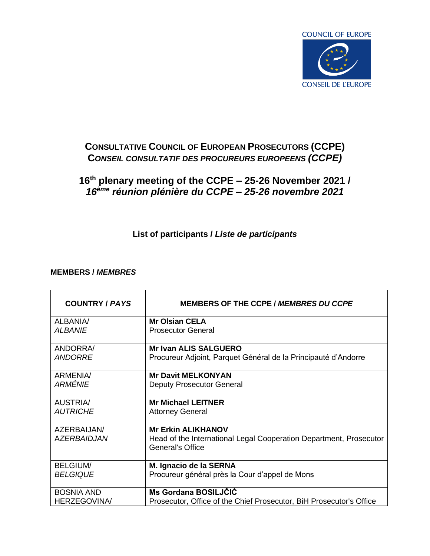

# **CONSULTATIVE COUNCIL OF EUROPEAN PROSECUTORS (CCPE) C***ONSEIL CONSULTATIF DES PROCUREURS EUROPEENS (CCPE)*

## **16th plenary meeting of the CCPE – 25-26 November 2021 /**  *16ème réunion plénière du CCPE* **–** *25-26 novembre 2021*

### **List of participants /** *Liste de participants*

#### **MEMBERS /** *MEMBRES*

| <b>COUNTRY / PAYS</b> | MEMBERS OF THE CCPE / MEMBRES DU CCPE                                                         |
|-----------------------|-----------------------------------------------------------------------------------------------|
| ALBANIA/              | <b>Mr Olsian CELA</b>                                                                         |
| <b>ALBANIE</b>        | <b>Prosecutor General</b>                                                                     |
| ANDORRA/              | <b>Mr Ivan ALIS SALGUERO</b>                                                                  |
| <b>ANDORRE</b>        | Procureur Adjoint, Parquet Général de la Principauté d'Andorre                                |
| <b>ARMENIA/</b>       | <b>Mr Davit MELKONYAN</b>                                                                     |
| ARMÉNIE               | <b>Deputy Prosecutor General</b>                                                              |
| <b>AUSTRIA/</b>       | <b>Mr Michael LEITNER</b>                                                                     |
| <b>AUTRICHE</b>       | <b>Attorney General</b>                                                                       |
| AZERBAIJAN/           | <b>Mr Erkin ALIKHANOV</b>                                                                     |
| <b>AZERBAIDJAN</b>    | Head of the International Legal Cooperation Department, Prosecutor<br><b>General's Office</b> |
| <b>BELGIUM/</b>       | M. Ignacio de la SERNA                                                                        |
| <b>BELGIQUE</b>       | Procureur général près la Cour d'appel de Mons                                                |
| <b>BOSNIA AND</b>     | <b>Ms Gordana BOSILJČIĆ</b>                                                                   |
| <b>HERZEGOVINA/</b>   | Prosecutor, Office of the Chief Prosecutor, BiH Prosecutor's Office                           |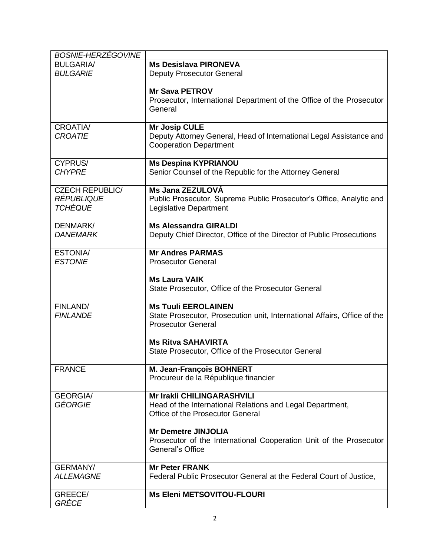| BOSNIE-HERZÉGOVINE                                            |                                                                                                                                     |
|---------------------------------------------------------------|-------------------------------------------------------------------------------------------------------------------------------------|
| <b>BULGARIA/</b>                                              | <b>Ms Desislava PIRONEVA</b>                                                                                                        |
| <b>BULGARIE</b>                                               | <b>Deputy Prosecutor General</b>                                                                                                    |
|                                                               | <b>Mr Sava PETROV</b><br>Prosecutor, International Department of the Office of the Prosecutor<br>General                            |
| <b>CROATIA/</b><br><b>CROATIE</b>                             | <b>Mr Josip CULE</b><br>Deputy Attorney General, Head of International Legal Assistance and<br><b>Cooperation Department</b>        |
| CYPRUS/<br><b>CHYPRE</b>                                      | <b>Ms Despina KYPRIANOU</b><br>Senior Counsel of the Republic for the Attorney General                                              |
| <b>CZECH REPUBLIC/</b><br><b>RÉPUBLIQUE</b><br><b>TCHÉQUE</b> | Ms Jana ZEZULOVÁ<br>Public Prosecutor, Supreme Public Prosecutor's Office, Analytic and<br>Legislative Department                   |
| <b>DENMARK/</b><br><b>DANEMARK</b>                            | <b>Ms Alessandra GIRALDI</b><br>Deputy Chief Director, Office of the Director of Public Prosecutions                                |
| <b>ESTONIA/</b>                                               | <b>Mr Andres PARMAS</b>                                                                                                             |
| <b>ESTONIE</b>                                                | <b>Prosecutor General</b>                                                                                                           |
|                                                               | <b>Ms Laura VAIK</b><br>State Prosecutor, Office of the Prosecutor General                                                          |
| FINLAND/<br><b>FINLANDE</b>                                   | <b>Ms Tuuli EEROLAINEN</b><br>State Prosecutor, Prosecution unit, International Affairs, Office of the<br><b>Prosecutor General</b> |
|                                                               | <b>Ms Ritva SAHAVIRTA</b><br>State Prosecutor, Office of the Prosecutor General                                                     |
| <b>FRANCE</b>                                                 | M. Jean-François BOHNERT<br>Procureur de la République financier                                                                    |
| <b>GEORGIA/</b><br>GÉORGIE                                    | <b>Mr Irakli CHILINGARASHVILI</b><br>Head of the International Relations and Legal Department,<br>Office of the Prosecutor General  |
|                                                               | <b>Mr Demetre JINJOLIA</b><br>Prosecutor of the International Cooperation Unit of the Prosecutor<br>General's Office                |
| <b>GERMANY/</b>                                               | <b>Mr Peter FRANK</b>                                                                                                               |
| <b>ALLEMAGNE</b>                                              | Federal Public Prosecutor General at the Federal Court of Justice,                                                                  |
| GREECE/<br>GRÉCE                                              | <b>Ms Eleni METSOVITOU-FLOURI</b>                                                                                                   |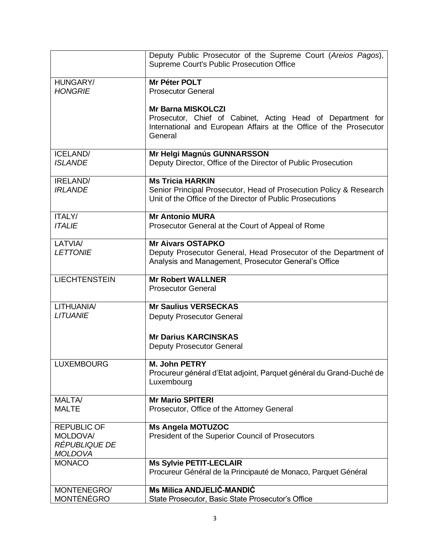|                                                                   | Deputy Public Prosecutor of the Supreme Court (Areios Pagos),<br>Supreme Court's Public Prosecution Office                                                                |
|-------------------------------------------------------------------|---------------------------------------------------------------------------------------------------------------------------------------------------------------------------|
| HUNGARY/<br><b>HONGRIE</b>                                        | Mr Péter POLT<br><b>Prosecutor General</b>                                                                                                                                |
|                                                                   | <b>Mr Barna MISKOLCZI</b><br>Prosecutor, Chief of Cabinet, Acting Head of Department for<br>International and European Affairs at the Office of the Prosecutor<br>General |
| <b>ICELAND/</b><br><b>ISLANDE</b>                                 | Mr Helgi Magnús GUNNARSSON<br>Deputy Director, Office of the Director of Public Prosecution                                                                               |
| IRELAND/<br><b>IRLANDE</b>                                        | <b>Ms Tricia HARKIN</b><br>Senior Principal Prosecutor, Head of Prosecution Policy & Research<br>Unit of the Office of the Director of Public Prosecutions                |
| <b>ITALY/</b><br><b>ITALIE</b>                                    | <b>Mr Antonio MURA</b><br>Prosecutor General at the Court of Appeal of Rome                                                                                               |
| LATVIA/<br><b>LETTONIE</b>                                        | <b>Mr Aivars OSTAPKO</b><br>Deputy Prosecutor General, Head Prosecutor of the Department of<br>Analysis and Management, Prosecutor General's Office                       |
| <b>LIECHTENSTEIN</b>                                              | <b>Mr Robert WALLNER</b><br><b>Prosecutor General</b>                                                                                                                     |
| LITHUANIA/                                                        | <b>Mr Saulius VERSECKAS</b>                                                                                                                                               |
| <b>LITUANIE</b>                                                   | <b>Deputy Prosecutor General</b>                                                                                                                                          |
|                                                                   | <b>Mr Darius KARCINSKAS</b><br><b>Deputy Prosecutor General</b>                                                                                                           |
| <b>LUXEMBOURG</b>                                                 | M. John PETRY<br>Procureur général d'Etat adjoint, Parquet général du Grand-Duché de<br>Luxembourg                                                                        |
| MALTA/<br><b>MALTE</b>                                            | <b>Mr Mario SPITERI</b><br>Prosecutor, Office of the Attorney General                                                                                                     |
| <b>REPUBLIC OF</b><br>MOLDOVA/<br>RÉPUBLIQUE DE<br><b>MOLDOVA</b> | <b>Ms Angela MOTUZOC</b><br>President of the Superior Council of Prosecutors                                                                                              |
| <b>MONACO</b>                                                     | <b>Ms Sylvie PETIT-LECLAIR</b><br>Procureur Général de la Principauté de Monaco, Parquet Général                                                                          |
| MONTENEGRO/<br>MONTÉNÉGRO                                         | <b>Ms Milica ANDJELIĆ-MANDIĆ</b><br>State Prosecutor, Basic State Prosecutor's Office                                                                                     |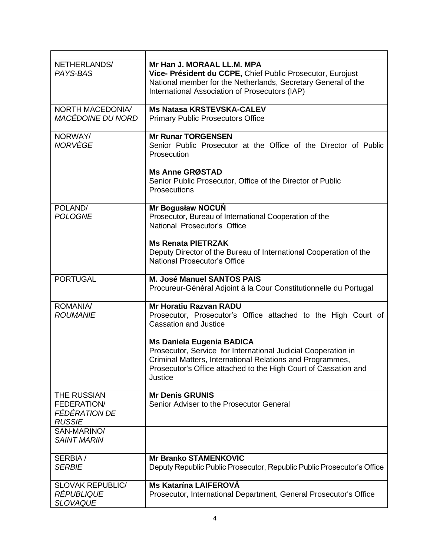| NETHERLANDS/<br>PAYS-BAS                                        | Mr Han J. MORAAL LL.M. MPA<br>Vice- Président du CCPE, Chief Public Prosecutor, Eurojust<br>National member for the Netherlands, Secretary General of the<br>International Association of Prosecutors (IAP)                                  |
|-----------------------------------------------------------------|----------------------------------------------------------------------------------------------------------------------------------------------------------------------------------------------------------------------------------------------|
| NORTH MACEDONIA/<br>MACÉDOINE DU NORD                           | <b>Ms Natasa KRSTEVSKA-CALEV</b><br><b>Primary Public Prosecutors Office</b>                                                                                                                                                                 |
| NORWAY/<br><b>NORVÈGE</b>                                       | <b>Mr Runar TORGENSEN</b><br>Senior Public Prosecutor at the Office of the Director of Public<br><b>Prosecution</b>                                                                                                                          |
|                                                                 | <b>Ms Anne GRØSTAD</b><br>Senior Public Prosecutor, Office of the Director of Public<br><b>Prosecutions</b>                                                                                                                                  |
| POLAND/<br><b>POLOGNE</b>                                       | <b>Mr Bogusław NOCUN</b><br>Prosecutor, Bureau of International Cooperation of the<br>National Prosecutor's Office                                                                                                                           |
|                                                                 | <b>Ms Renata PIETRZAK</b><br>Deputy Director of the Bureau of International Cooperation of the<br><b>National Prosecutor's Office</b>                                                                                                        |
| <b>PORTUGAL</b>                                                 | <b>M. José Manuel SANTOS PAIS</b><br>Procureur-Général Adjoint à la Cour Constitutionnelle du Portugal                                                                                                                                       |
| ROMANIA/<br><b>ROUMANIE</b>                                     | <b>Mr Horatiu Razvan RADU</b><br>Prosecutor, Prosecutor's Office attached to the High Court of<br><b>Cassation and Justice</b>                                                                                                               |
|                                                                 | <b>Ms Daniela Eugenia BADICA</b><br>Prosecutor, Service for International Judicial Cooperation in<br>Criminal Matters, International Relations and Programmes,<br>Prosecutor's Office attached to the High Court of Cassation and<br>Justice |
| THE RUSSIAN<br>FEDERATION/<br>FÉDÉRATION DE<br><b>RUSSIE</b>    | <b>Mr Denis GRUNIS</b><br>Senior Adviser to the Prosecutor General                                                                                                                                                                           |
| SAN-MARINO/<br><b>SAINT MARIN</b>                               |                                                                                                                                                                                                                                              |
| SERBIA/<br><b>SERBIE</b>                                        | <b>Mr Branko STAMENKOVIC</b><br>Deputy Republic Public Prosecutor, Republic Public Prosecutor's Office                                                                                                                                       |
| <b>SLOVAK REPUBLIC/</b><br><b>RÉPUBLIQUE</b><br><b>SLOVAQUE</b> | <b>Ms Katarína LAIFEROVÁ</b><br>Prosecutor, International Department, General Prosecutor's Office                                                                                                                                            |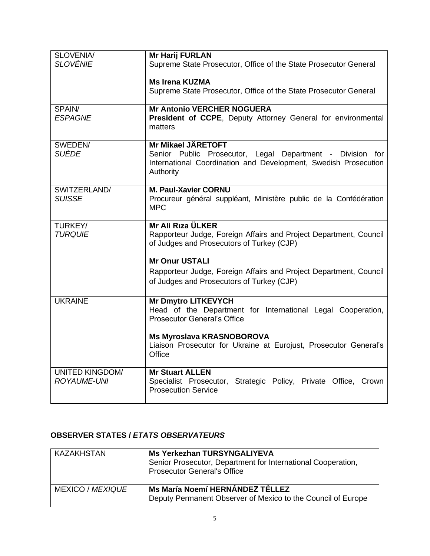| <b>SLOVENIA/</b>         | <b>Mr Harij FURLAN</b>                                                                                                                    |
|--------------------------|-------------------------------------------------------------------------------------------------------------------------------------------|
| <b>SLOVÉNIE</b>          | Supreme State Prosecutor, Office of the State Prosecutor General                                                                          |
|                          | <b>Ms Irena KUZMA</b>                                                                                                                     |
|                          | Supreme State Prosecutor, Office of the State Prosecutor General                                                                          |
| SPAIN/<br><b>ESPAGNE</b> | <b>Mr Antonio VERCHER NOGUERA</b><br>President of CCPE, Deputy Attorney General for environmental                                         |
|                          | matters                                                                                                                                   |
| SWEDEN/                  | <b>Mr Mikael JÄRETOFT</b>                                                                                                                 |
| SUÈDE                    | Senior Public Prosecutor, Legal Department - Division for<br>International Coordination and Development, Swedish Prosecution<br>Authority |
| SWITZERLAND/             | <b>M. Paul-Xavier CORNU</b>                                                                                                               |
| <b>SUISSE</b>            | Procureur général suppléant, Ministère public de la Confédération<br><b>MPC</b>                                                           |
| TURKEY/                  | Mr Ali Rıza ÜLKER                                                                                                                         |
| <b>TURQUIE</b>           | Rapporteur Judge, Foreign Affairs and Project Department, Council<br>of Judges and Prosecutors of Turkey (CJP)                            |
|                          | <b>Mr Onur USTALI</b>                                                                                                                     |
|                          | Rapporteur Judge, Foreign Affairs and Project Department, Council                                                                         |
|                          | of Judges and Prosecutors of Turkey (CJP)                                                                                                 |
| <b>UKRAINE</b>           | <b>Mr Dmytro LITKEVYCH</b>                                                                                                                |
|                          | Head of the Department for International Legal Cooperation,<br><b>Prosecutor General's Office</b>                                         |
|                          |                                                                                                                                           |
|                          | <b>Ms Myroslava KRASNOBOROVA</b><br>Liaison Prosecutor for Ukraine at Eurojust, Prosecutor General's<br>Office                            |
| <b>UNITED KINGDOM/</b>   | <b>Mr Stuart ALLEN</b>                                                                                                                    |
| <b>ROYAUME-UNI</b>       | Specialist Prosecutor, Strategic Policy, Private Office, Crown<br><b>Prosecution Service</b>                                              |

### **OBSERVER STATES /** *ETATS OBSERVATEURS*

| KAZAKHSTAN              | <b>Ms Yerkezhan TURSYNGALIYEVA</b><br>Senior Prosecutor, Department for International Cooperation,<br>Prosecutor General's Office |
|-------------------------|-----------------------------------------------------------------------------------------------------------------------------------|
| <b>MEXICO / MEXIQUE</b> | Ms María Noemí HERNÁNDEZ TÉLLEZ<br>Deputy Permanent Observer of Mexico to the Council of Europe                                   |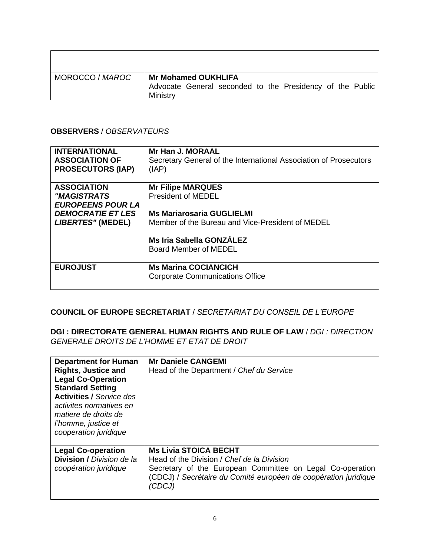| MOROCCO / MAROC | <b>Mr Mohamed OUKHLIFA</b><br>Advocate General seconded to the Presidency of the Public<br>Ministry |
|-----------------|-----------------------------------------------------------------------------------------------------|

#### **OBSERVERS** / *OBSERVATEURS*

| <b>INTERNATIONAL</b><br><b>ASSOCIATION OF</b><br><b>PROSECUTORS (IAP)</b> | <b>Mr Han J. MORAAL</b><br>Secretary General of the International Association of Prosecutors<br>(IAP) |
|---------------------------------------------------------------------------|-------------------------------------------------------------------------------------------------------|
| <b>ASSOCIATION</b>                                                        | <b>Mr Filipe MARQUES</b>                                                                              |
| <i>"MAGISTRATS</i>                                                        | <b>President of MEDEL</b>                                                                             |
| <b>EUROPEENS POUR LA</b>                                                  |                                                                                                       |
| <b>DEMOCRATIE ET LES</b>                                                  | <b>Ms Mariarosaria GUGLIELMI</b>                                                                      |
| LIBERTES" (MEDEL)                                                         | Member of the Bureau and Vice-President of MEDEL                                                      |
|                                                                           | Ms Iria Sabella GONZÁLEZ<br>Board Member of MEDEL                                                     |
| <b>EUROJUST</b>                                                           | <b>Ms Marina COCIANCICH</b><br><b>Corporate Communications Office</b>                                 |

#### **COUNCIL OF EUROPE SECRETARIAT** / *SECRETARIAT DU CONSEIL DE L'EUROPE*

**DGI : DIRECTORATE GENERAL HUMAN RIGHTS AND RULE OF LAW** / *DGI : DIRECTION GENERALE DROITS DE L'HOMME ET ETAT DE DROIT*

| <b>Department for Human</b><br><b>Rights, Justice and</b><br><b>Legal Co-Operation</b><br><b>Standard Setting</b><br><b>Activities / Service des</b><br>activites normatives en<br>matiere de droits de<br>l'homme, justice et<br>cooperation juridique | <b>Mr Daniele CANGEMI</b><br>Head of the Department / Chef du Service                                                                                                                                                |
|---------------------------------------------------------------------------------------------------------------------------------------------------------------------------------------------------------------------------------------------------------|----------------------------------------------------------------------------------------------------------------------------------------------------------------------------------------------------------------------|
| <b>Legal Co-operation</b><br><b>Division / Division de la</b><br>coopération juridique                                                                                                                                                                  | <b>Ms Livia STOICA BECHT</b><br>Head of the Division / Chef de la Division<br>Secretary of the European Committee on Legal Co-operation<br>(CDCJ) / Secrétaire du Comité européen de coopération juridique<br>'CDCJ) |